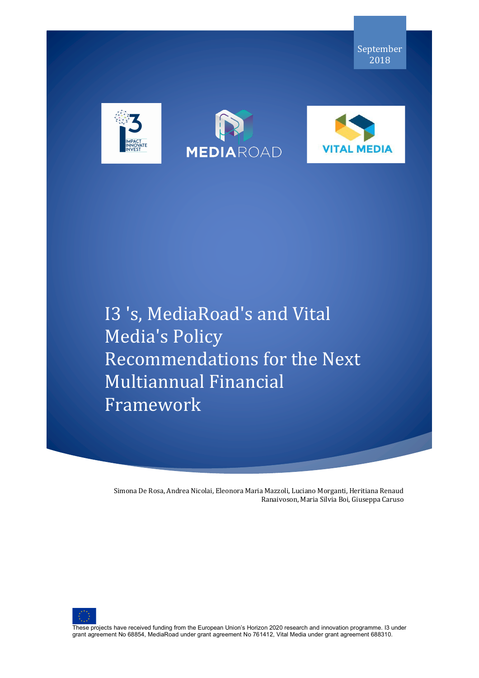

I3's, MediaRoad's and Vital **Media's Policy** Recommendations for the Next Multiannual Financial Framework

Simona De Rosa, Andrea Nicolai, Eleonora Maria Mazzoli, Luciano Morganti, Heritiana Renaud Ranaivoson, Maria Silvia Boi, Giuseppa Caruso

These projects have received funding from the European Union's Horizon 2020 research and innovation programme. I3 under grant agreement No 68854, MediaRoad under grant agreement No 761412, Vital Media under grant agreement 688310.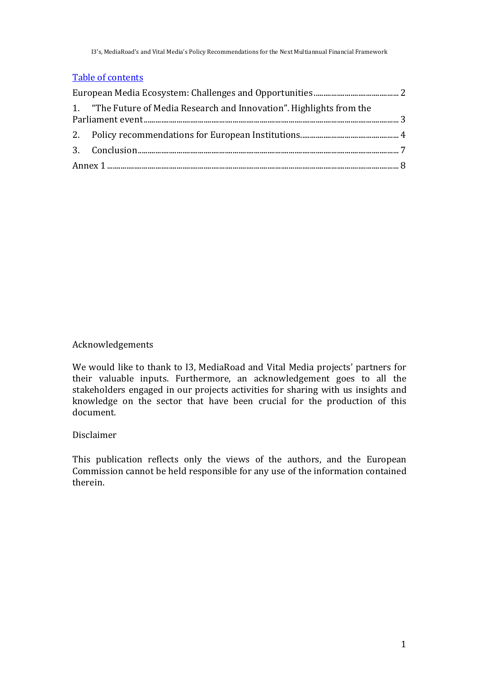I3's, MediaRoad's and Vital Media's Policy Recommendations for the Next Multiannual Financial Framework

# Table of contents

|  | 1. "The Future of Media Research and Innovation". Highlights from the |  |
|--|-----------------------------------------------------------------------|--|
|  |                                                                       |  |
|  |                                                                       |  |
|  |                                                                       |  |

## Acknowledgements

We would like to thank to I3, MediaRoad and Vital Media projects' partners for their valuable inputs. Furthermore, an acknowledgement goes to all the stakeholders engaged in our projects activities for sharing with us insights and knowledge on the sector that have been crucial for the production of this document.

#### Disclaimer

This publication reflects only the views of the authors, and the European Commission cannot be held responsible for any use of the information contained therein.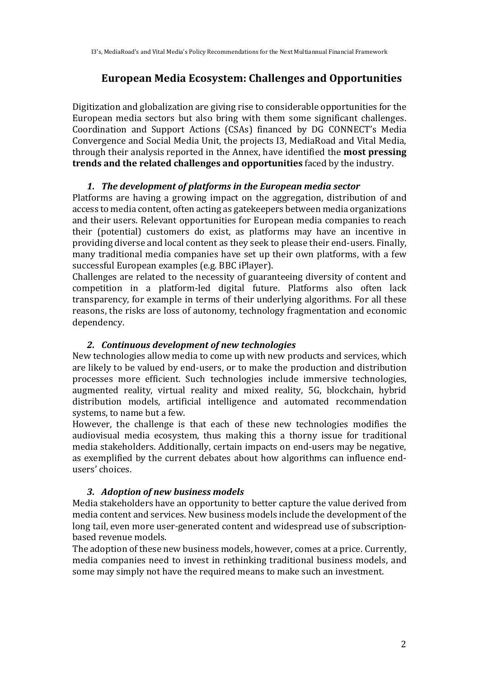# **European Media Ecosystem: Challenges and Opportunities**

Digitization and globalization are giving rise to considerable opportunities for the European media sectors but also bring with them some significant challenges. Coordination and Support Actions (CSAs) financed by DG CONNECT's Media Convergence and Social Media Unit, the projects I3, MediaRoad and Vital Media, through their analysis reported in the Annex, have identified the **most pressing trends and the related challenges and opportunities** faced by the industry.

## *1. The development of platforms in the European media sector*

Platforms are having a growing impact on the aggregation, distribution of and access to media content, often acting as gatekeepers between media organizations and their users. Relevant opportunities for European media companies to reach their (potential) customers do exist, as platforms may have an incentive in providing diverse and local content as they seek to please their end-users. Finally, many traditional media companies have set up their own platforms, with a few successful European examples (e.g. BBC iPlayer).

Challenges are related to the necessity of guaranteeing diversity of content and competition in a platform-led digital future. Platforms also often lack transparency, for example in terms of their underlying algorithms. For all these reasons, the risks are loss of autonomy, technology fragmentation and economic dependency. 

## 2. Continuous development of new technologies

New technologies allow media to come up with new products and services, which are likely to be valued by end-users, or to make the production and distribution processes more efficient. Such technologies include immersive technologies, augmented reality, virtual reality and mixed reality, 5G, blockchain, hybrid distribution models, artificial intelligence and automated recommendation systems, to name but a few.

However, the challenge is that each of these new technologies modifies the audiovisual media ecosystem, thus making this a thorny issue for traditional media stakeholders. Additionally, certain impacts on end-users may be negative, as exemplified by the current debates about how algorithms can influence endusers' choices.

## *3. Adoption of new business models*

Media stakeholders have an opportunity to better capture the value derived from media content and services. New business models include the development of the long tail, even more user-generated content and widespread use of subscriptionbased revenue models.

The adoption of these new business models, however, comes at a price. Currently, media companies need to invest in rethinking traditional business models, and some may simply not have the required means to make such an investment.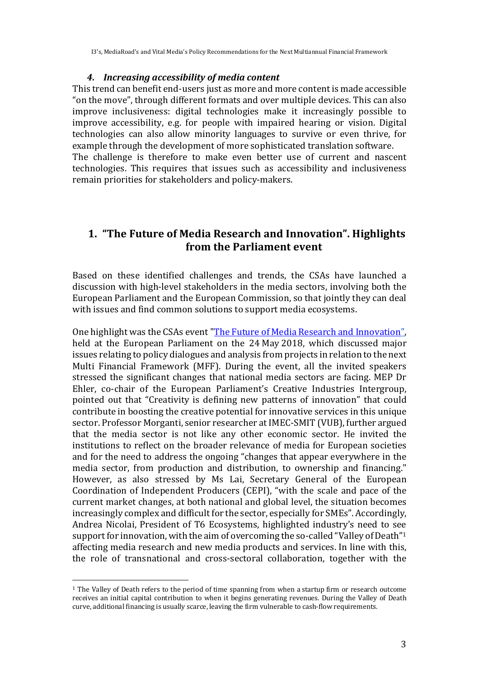#### *4. Increasing accessibility of media content*

This trend can benefit end-users just as more and more content is made accessible "on the move", through different formats and over multiple devices. This can also improve inclusiveness: digital technologies make it increasingly possible to improve accessibility, e.g. for people with impaired hearing or vision. Digital technologies can also allow minority languages to survive or even thrive, for example through the development of more sophisticated translation software. The challenge is therefore to make even better use of current and nascent technologies. This requires that issues such as accessibility and inclusiveness remain priorities for stakeholders and policy-makers.

# 1. **"The Future of Media Research and Innovation". Highlights from the Parliament event**

Based on these identified challenges and trends, the CSAs have launched a discussion with high-level stakeholders in the media sectors, involving both the European Parliament and the European Commission, so that jointly they can deal with issues and find common solutions to support media ecosystems.

One highlight was the CSAs event "The Future of Media Research and Innovation". held at the European Parliament on the 24 May 2018, which discussed major issues relating to policy dialogues and analysis from projects in relation to the next Multi Financial Framework (MFF). During the event, all the invited speakers stressed the significant changes that national media sectors are facing. MEP Dr Ehler, co-chair of the European Parliament's Creative Industries Intergroup, pointed out that "Creativity is defining new patterns of innovation" that could contribute in boosting the creative potential for innovative services in this unique sector. Professor Morganti, senior researcher at IMEC-SMIT (VUB), further argued that the media sector is not like any other economic sector. He invited the institutions to reflect on the broader relevance of media for European societies and for the need to address the ongoing "changes that appear everywhere in the media sector, from production and distribution, to ownership and financing." However, as also stressed by Ms Lai, Secretary General of the European Coordination of Independent Producers (CEPI), "with the scale and pace of the current market changes, at both national and global level, the situation becomes increasingly complex and difficult for the sector, especially for SMEs". Accordingly, Andrea Nicolai, President of T6 Ecosystems, highlighted industry's need to see support for innovation, with the aim of overcoming the so-called "Valley of Death"<sup>1</sup> affecting media research and new media products and services. In line with this, the role of transnational and cross-sectoral collaboration, together with the

 

 $1$  The Valley of Death refers to the period of time spanning from when a startup firm or research outcome receives an initial capital contribution to when it begins generating revenues. During the Valley of Death curve, additional financing is usually scarce, leaving the firm vulnerable to cash-flow requirements.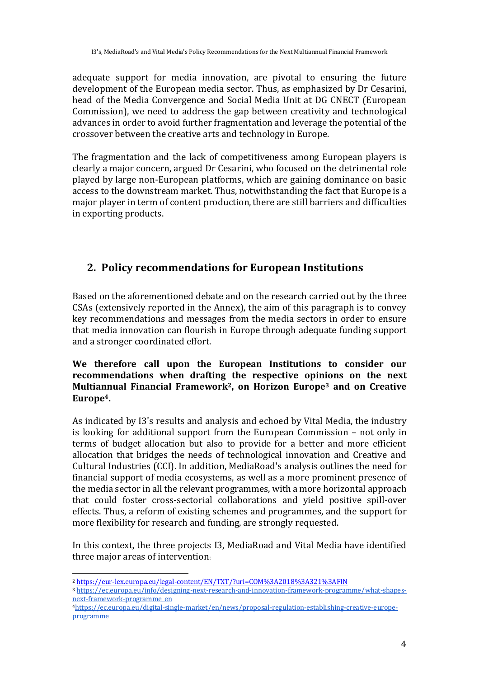adequate support for media innovation, are pivotal to ensuring the future development of the European media sector. Thus, as emphasized by Dr Cesarini, head of the Media Convergence and Social Media Unit at DG CNECT (European Commission), we need to address the gap between creativity and technological advances in order to avoid further fragmentation and leverage the potential of the crossover between the creative arts and technology in Europe.

The fragmentation and the lack of competitiveness among European players is clearly a major concern, argued Dr Cesarini, who focused on the detrimental role played by large non-European platforms, which are gaining dominance on basic access to the downstream market. Thus, notwithstanding the fact that Europe is a major player in term of content production, there are still barriers and difficulties in exporting products.

# **2. Policy recommendations for European Institutions**

Based on the aforementioned debate and on the research carried out by the three CSAs (extensively reported in the Annex), the aim of this paragraph is to convey key recommendations and messages from the media sectors in order to ensure that media innovation can flourish in Europe through adequate funding support and a stronger coordinated effort.

## We therefore call upon the European Institutions to consider our recommendations when drafting the respective opinions on the next **Multiannual Financial Framework<sup>2</sup>, on Horizon Europe<sup>3</sup> and on Creative Europe4.**

As indicated by I3's results and analysis and echoed by Vital Media, the industry is looking for additional support from the European Commission - not only in terms of budget allocation but also to provide for a better and more efficient allocation that bridges the needs of technological innovation and Creative and Cultural Industries (CCI). In addition, MediaRoad's analysis outlines the need for financial support of media ecosystems, as well as a more prominent presence of the media sector in all the relevant programmes, with a more horizontal approach that could foster cross-sectorial collaborations and yield positive spill-over effects. Thus, a reform of existing schemes and programmes, and the support for more flexibility for research and funding, are strongly requested.

In this context, the three projects I3, MediaRoad and Vital Media have identified three major areas of intervention.

 <sup>2</sup> https://eur-lex.europa.eu/legal-content/EN/TXT/?uri=COM%3A2018%3A321%3AFIN

<sup>3</sup> https://ec.europa.eu/info/designing-next-research-and-innovation-framework-programme/what-shapesnext-framework-programme\_en

<sup>4</sup>https://ec.europa.eu/digital-single-market/en/news/proposal-regulation-establishing-creative-europeprogramme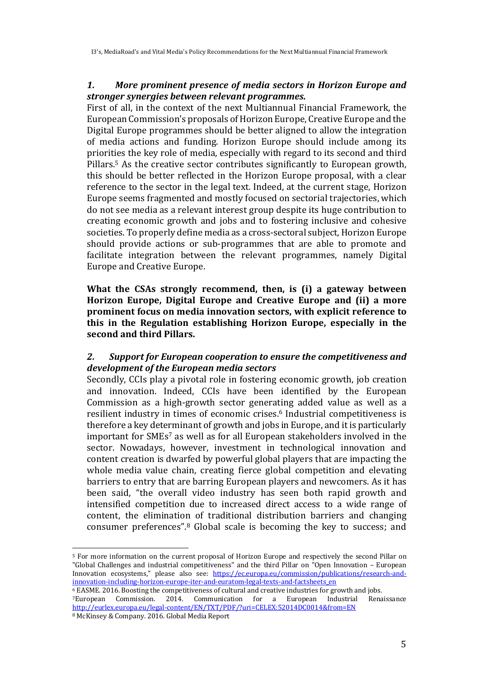#### 1. More prominent presence of media sectors in Horizon Europe and *stronger synergies between relevant programmes.*

First of all, in the context of the next Multiannual Financial Framework, the European Commission's proposals of Horizon Europe, Creative Europe and the Digital Europe programmes should be better aligned to allow the integration of media actions and funding. Horizon Europe should include among its priorities the key role of media, especially with regard to its second and third Pillars.<sup>5</sup> As the creative sector contributes significantly to European growth, this should be better reflected in the Horizon Europe proposal, with a clear reference to the sector in the legal text. Indeed, at the current stage, Horizon Europe seems fragmented and mostly focused on sectorial trajectories, which do not see media as a relevant interest group despite its huge contribution to creating economic growth and jobs and to fostering inclusive and cohesive societies. To properly define media as a cross-sectoral subject, Horizon Europe should provide actions or sub-programmes that are able to promote and facilitate integration between the relevant programmes, namely Digital Europe and Creative Europe.

**What the CSAs strongly recommend, then, is (i) a gateway between Horizon Europe, Digital Europe and Creative Europe and (ii) a more prominent focus on media innovation sectors, with explicit reference to this** in the Regulation establishing Horizon Europe, especially in the **second and third Pillars.**

#### 2. Support for European cooperation to ensure the competitiveness and *development of the European media sectors*

Secondly, CCIs play a pivotal role in fostering economic growth, job creation and innovation. Indeed, CCIs have been identified by the European Commission as a high-growth sector generating added value as well as a resilient industry in times of economic crises.<sup>6</sup> Industrial competitiveness is therefore a key determinant of growth and jobs in Europe, and it is particularly important for SMEs<sup>7</sup> as well as for all European stakeholders involved in the sector. Nowadays, however, investment in technological innovation and content creation is dwarfed by powerful global players that are impacting the whole media value chain, creating fierce global competition and elevating barriers to entry that are barring European players and newcomers. As it has been said, "the overall video industry has seen both rapid growth and intensified competition due to increased direct access to a wide range of content, the elimination of traditional distribution barriers and changing consumer preferences".<sup>8</sup> Global scale is becoming the key to success; and

 

<sup>6</sup> EASME. 2016. Boosting the competitiveness of cultural and creative industries for growth and jobs. 7European Commission. 2014. Communication for a European Industrial Renaissance http://eurlex.europa.eu/legal-content/EN/TXT/PDF/?uri=CELEX:52014DC0014&from=EN <sup>8</sup> McKinsey & Company. 2016. Global Media Report

<sup>&</sup>lt;sup>5</sup> For more information on the current proposal of Horizon Europe and respectively the second Pillar on "Global Challenges and industrial competitiveness" and the third Pillar on "Open Innovation - European Innovation ecosystems," please also see: https://ec.europa.eu/commission/publications/research-andinnovation-including-horizon-europe-iter-and-euratom-legal-texts-and-factsheets en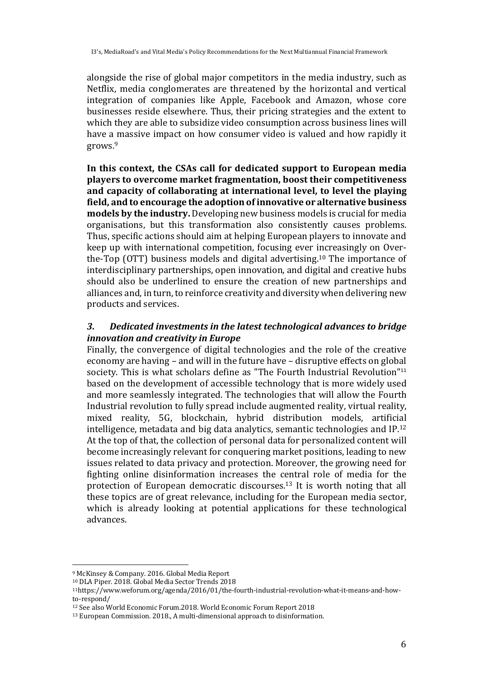alongside the rise of global major competitors in the media industry, such as Netflix, media conglomerates are threatened by the horizontal and vertical integration of companies like Apple, Facebook and Amazon, whose core businesses reside elsewhere. Thus, their pricing strategies and the extent to which they are able to subsidize video consumption across business lines will have a massive impact on how consumer video is valued and how rapidly it grows. 9

In this context, the CSAs call for dedicated support to European media **players to overcome market fragmentation, boost their competitiveness** and capacity of collaborating at international level, to level the playing field, and to encourage the adoption of innovative or alternative business models by the industry. Developing new business models is crucial for media organisations, but this transformation also consistently causes problems. Thus, specific actions should aim at helping European players to innovate and keep up with international competition, focusing ever increasingly on Overthe-Top  $(0TT)$  business models and digital advertising.<sup>10</sup> The importance of interdisciplinary partnerships, open innovation, and digital and creative hubs should also be underlined to ensure the creation of new partnerships and alliances and, in turn, to reinforce creativity and diversity when delivering new products and services.

## 3. Dedicated investments in the latest technological advances to bridge *innovation and creativity in Europe*

Finally, the convergence of digital technologies and the role of the creative economy are having - and will in the future have - disruptive effects on global society. This is what scholars define as "The Fourth Industrial Revolution"<sup>11</sup> based on the development of accessible technology that is more widely used and more seamlessly integrated. The technologies that will allow the Fourth Industrial revolution to fully spread include augmented reality, virtual reality, mixed reality, 5G, blockchain, hybrid distribution models, artificial intelligence, metadata and big data analytics, semantic technologies and IP. $^{12}$ At the top of that, the collection of personal data for personalized content will become increasingly relevant for conquering market positions, leading to new issues related to data privacy and protection. Moreover, the growing need for fighting online disinformation increases the central role of media for the protection of European democratic discourses.<sup>13</sup> It is worth noting that all these topics are of great relevance, including for the European media sector, which is already looking at potential applications for these technological advances.

 

<sup>10</sup> DLA Piper. 2018. Global Media Sector Trends 2018

<sup>&</sup>lt;sup>9</sup> McKinsey & Company. 2016. Global Media Report

<sup>11</sup>https://www.weforum.org/agenda/2016/01/the-fourth-industrial-revolution-what-it-means-and-howto-respond/

<sup>&</sup>lt;sup>12</sup> See also World Economic Forum.2018. World Economic Forum Report 2018

<sup>&</sup>lt;sup>13</sup> European Commission. 2018., A multi-dimensional approach to disinformation.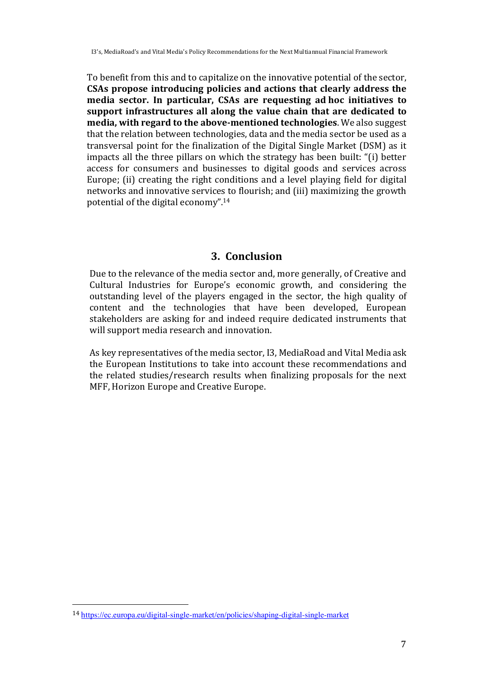To benefit from this and to capitalize on the innovative potential of the sector, **CSAs propose introducing policies and actions that clearly address the media** sector. In particular, CSAs are requesting ad hoc initiatives to **support infrastructures all along the value chain that are dedicated to media, with regard to the above-mentioned technologies**. We also suggest that the relation between technologies, data and the media sector be used as a transversal point for the finalization of the Digital Single Market (DSM) as it impacts all the three pillars on which the strategy has been built: "(i) better access for consumers and businesses to digital goods and services across Europe; (ii) creating the right conditions and a level playing field for digital networks and innovative services to flourish; and (iii) maximizing the growth potential of the digital economy".<sup>14</sup>

## **3. Conclusion**

Due to the relevance of the media sector and, more generally, of Creative and Cultural Industries for Europe's economic growth, and considering the outstanding level of the players engaged in the sector, the high quality of content and the technologies that have been developed, European stakeholders are asking for and indeed require dedicated instruments that will support media research and innovation.

As key representatives of the media sector, I3, MediaRoad and Vital Media ask the European Institutions to take into account these recommendations and the related studies/research results when finalizing proposals for the next MFF, Horizon Europe and Creative Europe.

 

<sup>14</sup> https://ec.europa.eu/digital-single-market/en/policies/shaping-digital-single-market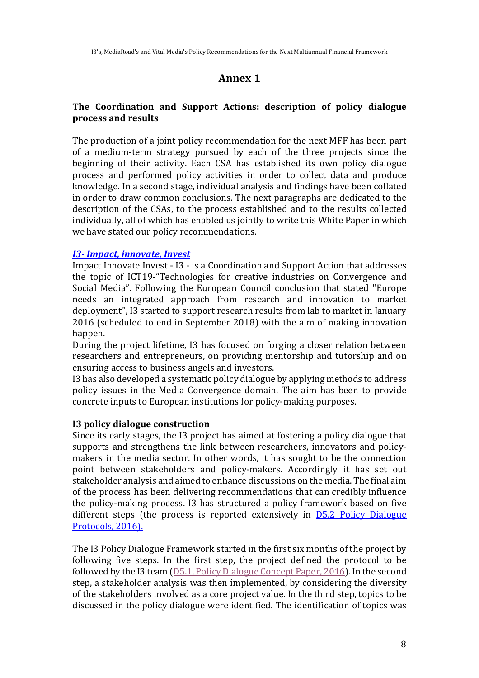# **Annex 1**

# The Coordination and Support Actions: description of policy dialogue **process and results**

The production of a joint policy recommendation for the next MFF has been part of a medium-term strategy pursued by each of the three projects since the beginning of their activity. Each CSA has established its own policy dialogue process and performed policy activities in order to collect data and produce knowledge. In a second stage, individual analysis and findings have been collated in order to draw common conclusions. The next paragraphs are dedicated to the description of the CSAs, to the process established and to the results collected individually, all of which has enabled us jointly to write this White Paper in which we have stated our policy recommendations.

## *I3- Impact, innovate, Invest*

Impact Innovate Invest - I3 - is a Coordination and Support Action that addresses the topic of ICT19-"Technologies for creative industries on Convergence and Social Media". Following the European Council conclusion that stated "Europe" needs an integrated approach from research and innovation to market deployment", I3 started to support research results from lab to market in January 2016 (scheduled to end in September 2018) with the aim of making innovation happen.

During the project lifetime, I3 has focused on forging a closer relation between researchers and entrepreneurs, on providing mentorship and tutorship and on ensuring access to business angels and investors.

I3 has also developed a systematic policy dialogue by applying methods to address policy issues in the Media Convergence domain. The aim has been to provide concrete inputs to European institutions for policy-making purposes.

## **I3 policy dialogue construction**

Since its early stages, the I3 project has aimed at fostering a policy dialogue that supports and strengthens the link between researchers, innovators and policymakers in the media sector. In other words, it has sought to be the connection point between stakeholders and policy-makers. Accordingly it has set out stakeholder analysis and aimed to enhance discussions on the media. The final aim of the process has been delivering recommendations that can credibly influence the policy-making process. I3 has structured a policy framework based on five different steps (the process is reported extensively in  $D5.2$  Policy Dialogue Protocols, 2016).

The I3 Policy Dialogue Framework started in the first six months of the project by following five steps. In the first step, the project defined the protocol to be followed by the I3 team (D5.1, Policy Dialogue Concept Paper, 2016). In the second step, a stakeholder analysis was then implemented, by considering the diversity of the stakeholders involved as a core project value. In the third step, topics to be discussed in the policy dialogue were identified. The identification of topics was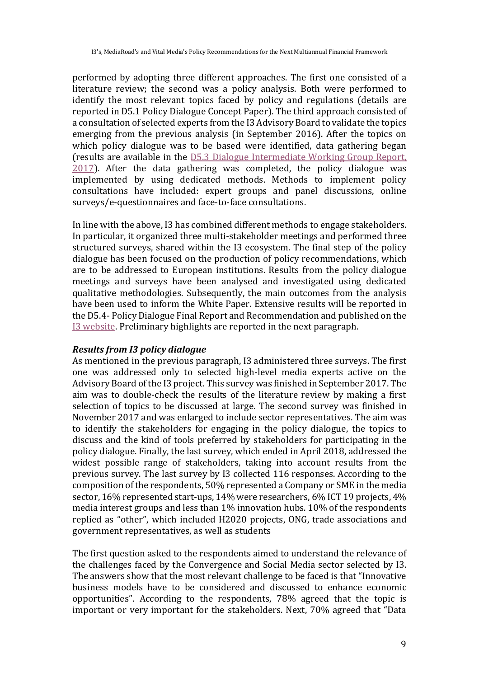performed by adopting three different approaches. The first one consisted of a literature review; the second was a policy analysis. Both were performed to identify the most relevant topics faced by policy and regulations (details are reported in D5.1 Policy Dialogue Concept Paper). The third approach consisted of a consultation of selected experts from the I3 Advisory Board to validate the topics emerging from the previous analysis (in September 2016). After the topics on which policy dialogue was to be based were identified, data gathering began (results are available in the D5.3 Dialogue Intermediate Working Group Report,  $2017$ ). After the data gathering was completed, the policy dialogue was implemented by using dedicated methods. Methods to implement policy consultations have included: expert groups and panel discussions, online surveys/e-questionnaires and face-to-face consultations.

In line with the above, I3 has combined different methods to engage stakeholders. In particular, it organized three multi-stakeholder meetings and performed three structured surveys, shared within the I3 ecosystem. The final step of the policy dialogue has been focused on the production of policy recommendations, which are to be addressed to European institutions. Results from the policy dialogue meetings and surveys have been analysed and investigated using dedicated qualitative methodologies. Subsequently, the main outcomes from the analysis have been used to inform the White Paper. Extensive results will be reported in the D5.4- Policy Dialogue Final Report and Recommendation and published on the I3 website. Preliminary highlights are reported in the next paragraph.

## *Results from I3 policy dialogue*

As mentioned in the previous paragraph, I3 administered three surveys. The first one was addressed only to selected high-level media experts active on the Advisory Board of the I3 project. This survey was finished in September 2017. The aim was to double-check the results of the literature review by making a first selection of topics to be discussed at large. The second survey was finished in November 2017 and was enlarged to include sector representatives. The aim was to identify the stakeholders for engaging in the policy dialogue, the topics to discuss and the kind of tools preferred by stakeholders for participating in the policy dialogue. Finally, the last survey, which ended in April 2018, addressed the widest possible range of stakeholders, taking into account results from the previous survey. The last survey by I3 collected 116 responses. According to the composition of the respondents, 50% represented a Company or SME in the media sector, 16% represented start-ups, 14% were researchers, 6% ICT 19 projects, 4% media interest groups and less than  $1\%$  innovation hubs.  $10\%$  of the respondents replied as "other", which included H2020 projects, ONG, trade associations and government representatives, as well as students

The first question asked to the respondents aimed to understand the relevance of the challenges faced by the Convergence and Social Media sector selected by I3. The answers show that the most relevant challenge to be faced is that "Innovative" business models have to be considered and discussed to enhance economic opportunities". According to the respondents, 78% agreed that the topic is important or very important for the stakeholders. Next, 70% agreed that "Data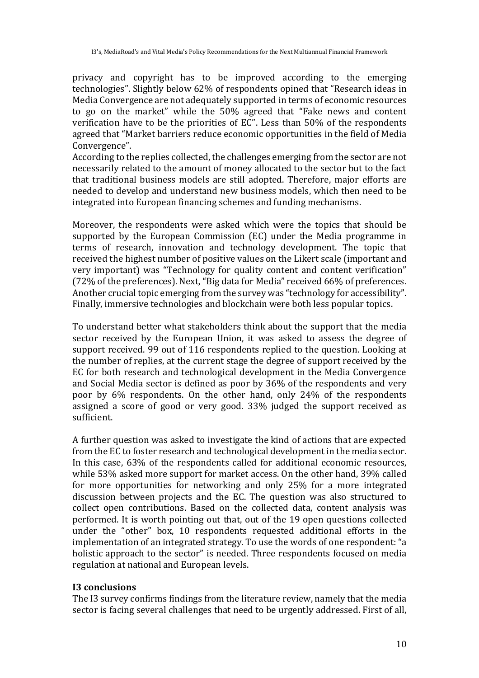privacy and copyright has to be improved according to the emerging technologies". Slightly below 62% of respondents opined that "Research ideas in Media Convergence are not adequately supported in terms of economic resources to go on the market" while the 50% agreed that "Fake news and content verification have to be the priorities of  $EC$ ". Less than  $50\%$  of the respondents agreed that "Market barriers reduce economic opportunities in the field of Media Convergence".

According to the replies collected, the challenges emerging from the sector are not necessarily related to the amount of money allocated to the sector but to the fact that traditional business models are still adopted. Therefore, major efforts are needed to develop and understand new business models, which then need to be integrated into European financing schemes and funding mechanisms.

Moreover, the respondents were asked which were the topics that should be supported by the European Commission (EC) under the Media programme in terms of research, innovation and technology development. The topic that received the highest number of positive values on the Likert scale (important and very important) was "Technology for quality content and content verification" (72% of the preferences). Next, "Big data for Media" received  $66\%$  of preferences. Another crucial topic emerging from the survey was "technology for accessibility". Finally, immersive technologies and blockchain were both less popular topics.

To understand better what stakeholders think about the support that the media sector received by the European Union, it was asked to assess the degree of support received. 99 out of 116 respondents replied to the question. Looking at the number of replies, at the current stage the degree of support received by the EC for both research and technological development in the Media Convergence and Social Media sector is defined as poor by 36% of the respondents and very poor by  $6\%$  respondents. On the other hand, only  $24\%$  of the respondents assigned a score of good or very good. 33% judged the support received as sufficient.

A further question was asked to investigate the kind of actions that are expected from the EC to foster research and technological development in the media sector. In this case,  $63\%$  of the respondents called for additional economic resources, while 53% asked more support for market access. On the other hand, 39% called for more opportunities for networking and only 25% for a more integrated discussion between projects and the EC. The question was also structured to collect open contributions. Based on the collected data, content analysis was performed. It is worth pointing out that, out of the 19 open questions collected under the "other" box, 10 respondents requested additional efforts in the implementation of an integrated strategy. To use the words of one respondent: "a holistic approach to the sector" is needed. Three respondents focused on media regulation at national and European levels.

## **I3 conclusions**

The I3 survey confirms findings from the literature review, namely that the media sector is facing several challenges that need to be urgently addressed. First of all,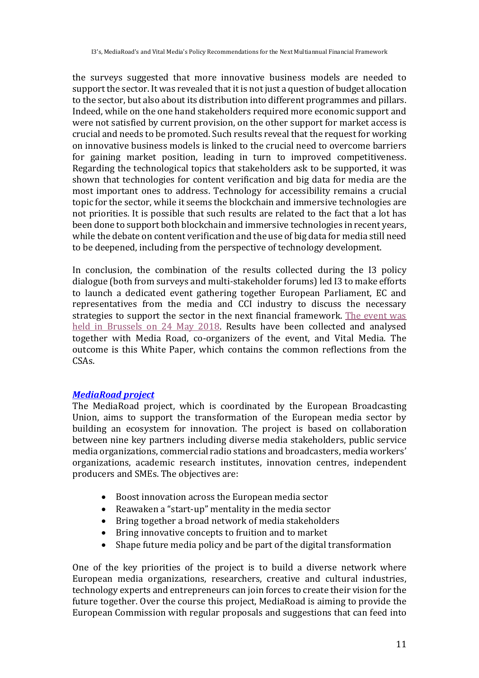the surveys suggested that more innovative business models are needed to support the sector. It was revealed that it is not just a question of budget allocation to the sector, but also about its distribution into different programmes and pillars. Indeed, while on the one hand stakeholders required more economic support and were not satisfied by current provision, on the other support for market access is crucial and needs to be promoted. Such results reveal that the request for working on innovative business models is linked to the crucial need to overcome barriers for gaining market position, leading in turn to improved competitiveness. Regarding the technological topics that stakeholders ask to be supported, it was shown that technologies for content verification and big data for media are the most important ones to address. Technology for accessibility remains a crucial topic for the sector, while it seems the blockchain and immersive technologies are not priorities. It is possible that such results are related to the fact that a lot has been done to support both blockchain and immersive technologies in recent years, while the debate on content verification and the use of big data for media still need to be deepened, including from the perspective of technology development.

In conclusion, the combination of the results collected during the I3 policy dialogue (both from surveys and multi-stakeholder forums) led I3 to make efforts to launch a dedicated event gathering together European Parliament, EC and representatives from the media and CCI industry to discuss the necessary strategies to support the sector in the next financial framework. The event was held in Brussels on 24 May 2018. Results have been collected and analysed together with Media Road, co-organizers of the event, and Vital Media. The outcome is this White Paper, which contains the common reflections from the CSAs.

## *MediaRoad project*

The MediaRoad project, which is coordinated by the European Broadcasting Union, aims to support the transformation of the European media sector by building an ecosystem for innovation. The project is based on collaboration between nine key partners including diverse media stakeholders, public service media organizations, commercial radio stations and broadcasters, media workers' organizations, academic research institutes, innovation centres, independent producers and SMEs. The objectives are:

- Boost innovation across the European media sector
- Reawaken a "start-up" mentality in the media sector
- Bring together a broad network of media stakeholders
- Bring innovative concepts to fruition and to market
- Shape future media policy and be part of the digital transformation

One of the key priorities of the project is to build a diverse network where European media organizations, researchers, creative and cultural industries, technology experts and entrepreneurs can join forces to create their vision for the future together. Over the course this project, MediaRoad is aiming to provide the European Commission with regular proposals and suggestions that can feed into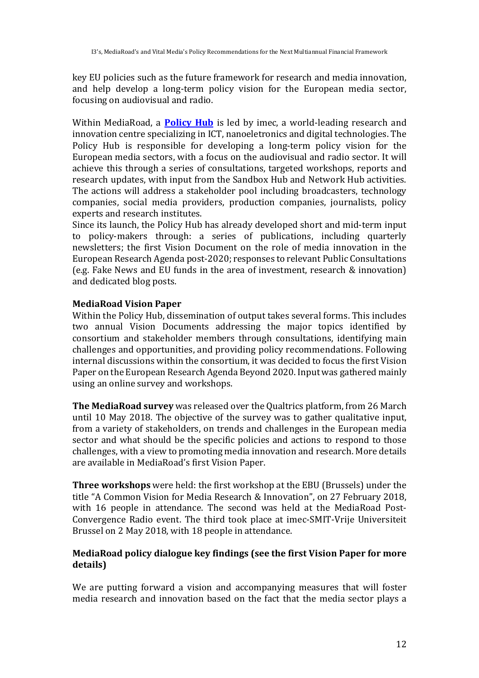key EU policies such as the future framework for research and media innovation, and help develop a long-term policy vision for the European media sector, focusing on audiovisual and radio.

Within MediaRoad, a **Policy Hub** is led by imec, a world-leading research and innovation centre specializing in ICT, nanoeletronics and digital technologies. The Policy Hub is responsible for developing a long-term policy vision for the European media sectors, with a focus on the audiovisual and radio sector. It will achieve this through a series of consultations, targeted workshops, reports and research updates, with input from the Sandbox Hub and Network Hub activities. The actions will address a stakeholder pool including broadcasters, technology companies, social media providers, production companies, journalists, policy experts and research institutes.

Since its launch, the Policy Hub has already developed short and mid-term input to policy-makers through: a series of publications, including quarterly newsletters; the first Vision Document on the role of media innovation in the European Research Agenda post-2020; responses to relevant Public Consultations (e.g. Fake News and EU funds in the area of investment, research  $&$  innovation) and dedicated blog posts.

## **MediaRoad Vision Paper**

Within the Policy Hub, dissemination of output takes several forms. This includes two annual Vision Documents addressing the major topics identified by consortium and stakeholder members through consultations, identifying main challenges and opportunities, and providing policy recommendations. Following internal discussions within the consortium, it was decided to focus the first Vision Paper on the European Research Agenda Beyond 2020. Input was gathered mainly using an online survey and workshops.

**The MediaRoad survey** was released over the Qualtrics platform, from 26 March until 10 May 2018. The objective of the survey was to gather qualitative input, from a variety of stakeholders, on trends and challenges in the European media sector and what should be the specific policies and actions to respond to those challenges, with a view to promoting media innovation and research. More details are available in MediaRoad's first Vision Paper.

**Three workshops** were held: the first workshop at the EBU (Brussels) under the title "A Common Vision for Media Research & Innovation", on 27 February 2018, with 16 people in attendance. The second was held at the MediaRoad Post-Convergence Radio event. The third took place at imec-SMIT-Vrije Universiteit Brussel on 2 May 2018, with 18 people in attendance.

## **MediaRoad policy dialogue key findings (see the first Vision Paper for more details)**

We are putting forward a vision and accompanying measures that will foster media research and innovation based on the fact that the media sector plays a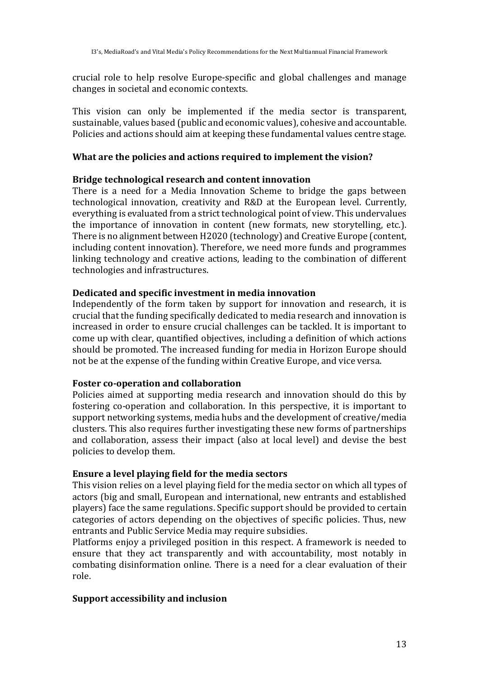crucial role to help resolve Europe-specific and global challenges and manage changes in societal and economic contexts.

This vision can only be implemented if the media sector is transparent, sustainable, values based (public and economic values), cohesive and accountable. Policies and actions should aim at keeping these fundamental values centre stage.

#### What are the policies and actions required to implement the vision?

#### **Bridge technological research and content innovation**

There is a need for a Media Innovation Scheme to bridge the gaps between technological innovation, creativity and R&D at the European level. Currently, everything is evaluated from a strict technological point of view. This undervalues the importance of innovation in content (new formats, new storytelling, etc.). There is no alignment between H2020 (technology) and Creative Europe (content, including content innovation). Therefore, we need more funds and programmes linking technology and creative actions, leading to the combination of different technologies and infrastructures.

#### Dedicated and specific investment in media innovation

Independently of the form taken by support for innovation and research, it is crucial that the funding specifically dedicated to media research and innovation is increased in order to ensure crucial challenges can be tackled. It is important to come up with clear, quantified objectives, including a definition of which actions should be promoted. The increased funding for media in Horizon Europe should not be at the expense of the funding within Creative Europe, and vice versa.

#### **Foster co-operation and collaboration**

Policies aimed at supporting media research and innovation should do this by fostering co-operation and collaboration. In this perspective, it is important to support networking systems, media hubs and the development of creative/media clusters. This also requires further investigating these new forms of partnerships and collaboration, assess their impact (also at local level) and devise the best policies to develop them.

## **Ensure a level playing field for the media sectors**

This vision relies on a level playing field for the media sector on which all types of actors (big and small, European and international, new entrants and established players) face the same regulations. Specific support should be provided to certain categories of actors depending on the objectives of specific policies. Thus, new entrants and Public Service Media may require subsidies.

Platforms enjoy a privileged position in this respect. A framework is needed to ensure that they act transparently and with accountability, most notably in combating disinformation online. There is a need for a clear evaluation of their role.

#### **Support accessibility and inclusion**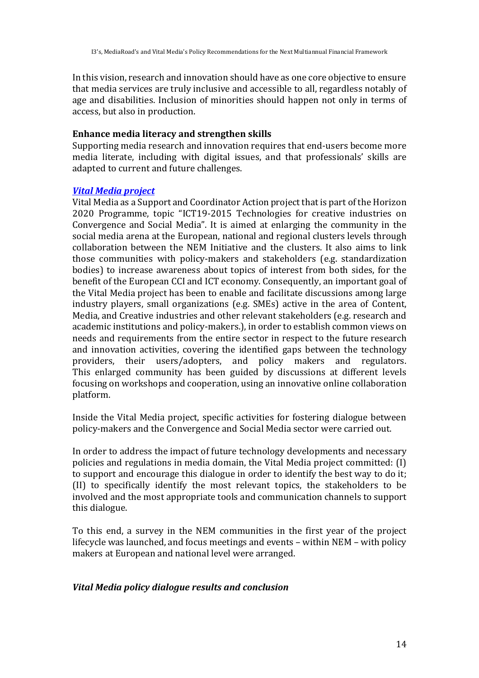In this vision, research and innovation should have as one core objective to ensure that media services are truly inclusive and accessible to all, regardless notably of age and disabilities. Inclusion of minorities should happen not only in terms of access, but also in production.

#### **Enhance media literacy and strengthen skills**

Supporting media research and innovation requires that end-users become more media literate, including with digital issues, and that professionals' skills are adapted to current and future challenges.

#### *Vital Media project*

Vital Media as a Support and Coordinator Action project that is part of the Horizon 2020 Programme, topic "ICT19-2015 Technologies for creative industries on Convergence and Social Media". It is aimed at enlarging the community in the social media arena at the European, national and regional clusters levels through collaboration between the NEM Initiative and the clusters. It also aims to link those communities with policy-makers and stakeholders (e.g. standardization bodies) to increase awareness about topics of interest from both sides, for the benefit of the European CCI and ICT economy. Consequently, an important goal of the Vital Media project has been to enable and facilitate discussions among large industry players, small organizations (e.g. SMEs) active in the area of Content, Media, and Creative industries and other relevant stakeholders (e.g. research and academic institutions and policy-makers.), in order to establish common views on needs and requirements from the entire sector in respect to the future research and innovation activities, covering the identified gaps between the technology providers, their users/adopters, and policy makers and regulators. This enlarged community has been guided by discussions at different levels focusing on workshops and cooperation, using an innovative online collaboration platform.

Inside the Vital Media project, specific activities for fostering dialogue between policy-makers and the Convergence and Social Media sector were carried out.

In order to address the impact of future technology developments and necessary policies and regulations in media domain, the Vital Media project committed:  $(I)$ to support and encourage this dialogue in order to identify the best way to do it; (II) to specifically identify the most relevant topics, the stakeholders to be involved and the most appropriate tools and communication channels to support this dialogue.

To this end, a survey in the NEM communities in the first year of the project lifecycle was launched, and focus meetings and events – within NEM – with policy makers at European and national level were arranged.

## **Vital Media policy dialogue results and conclusion**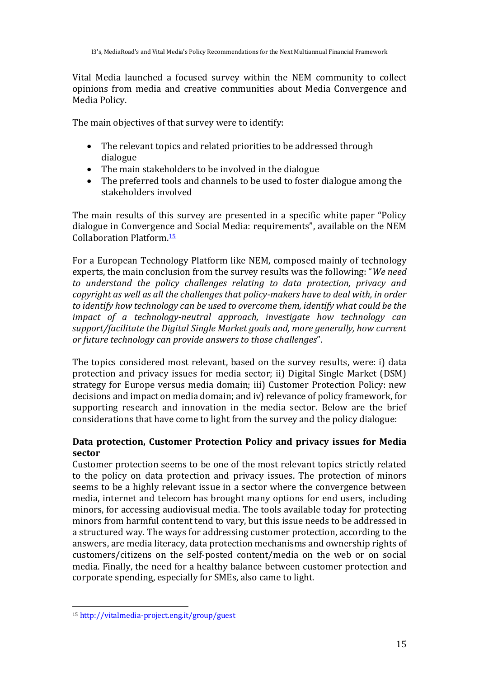Vital Media launched a focused survey within the NEM community to collect opinions from media and creative communities about Media Convergence and Media Policy.

The main objectives of that survey were to identify:

- The relevant topics and related priorities to be addressed through dialogue
- The main stakeholders to be involved in the dialogue
- The preferred tools and channels to be used to foster dialogue among the stakeholders involved

The main results of this survey are presented in a specific white paper "Policy dialogue in Convergence and Social Media: requirements", available on the NEM Collaboration Platform.<sup>15</sup>

For a European Technology Platform like NEM, composed mainly of technology experts, the main conclusion from the survey results was the following: "We need *to understand the policy challenges relating to data protection, privacy and copyright as well as all the challenges that policy-makers have to deal with, in order* to *identify* how technology can be used to overcome them, identify what could be the *impact* of a *technology-neutral approach, investigate how technology can* support/facilitate the Digital Single Market goals and, more generally, how current *or future technology can provide answers to those challenges*".

The topics considered most relevant, based on the survey results, were: i) data protection and privacy issues for media sector; ii) Digital Single Market (DSM) strategy for Europe versus media domain; iii) Customer Protection Policy: new decisions and impact on media domain; and iv) relevance of policy framework, for supporting research and innovation in the media sector. Below are the brief considerations that have come to light from the survey and the policy dialogue:

## Data protection, Customer Protection Policy and privacy issues for Media **sector**

Customer protection seems to be one of the most relevant topics strictly related to the policy on data protection and privacy issues. The protection of minors seems to be a highly relevant issue in a sector where the convergence between media, internet and telecom has brought many options for end users, including minors, for accessing audiovisual media. The tools available today for protecting minors from harmful content tend to vary, but this issue needs to be addressed in a structured way. The ways for addressing customer protection, according to the answers, are media literacy, data protection mechanisms and ownership rights of customers/citizens on the self-posted content/media on the web or on social media. Finally, the need for a healthy balance between customer protection and corporate spending, especially for SMEs, also came to light.

 

<sup>15</sup> http://vitalmedia-project.eng.it/group/guest